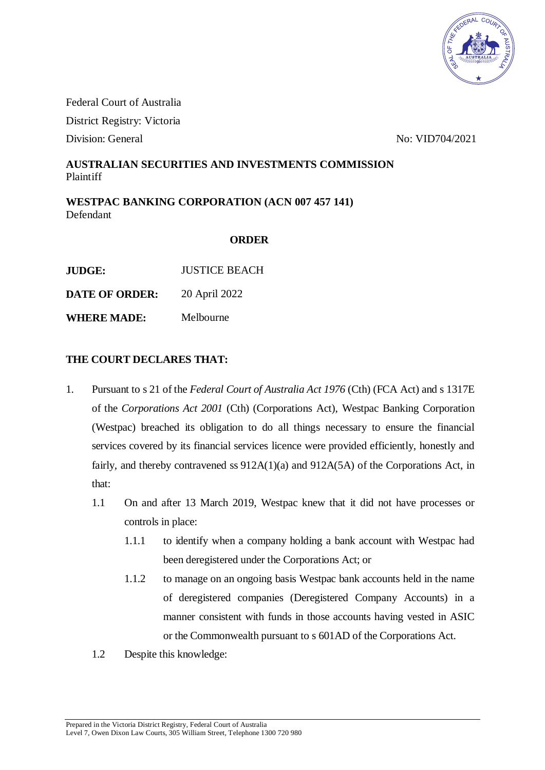

Federal Court of Australia District Registry: Victoria Division: General No. 20021

## **AUSTRALIAN SECURITIES AND INVESTMENTS COMMISSION** Plaintiff

**WESTPAC BANKING CORPORATION (ACN 007 457 141)** Defendant

## **ORDER**

**DATE OF ORDER:** 20 April 2022

**WHERE MADE:** Melbourne

## **THE COURT DECLARES THAT:**

- 1. Pursuant to s 21 of the *Federal Court of Australia Act 1976* (Cth) (FCA Act) and s 1317E of the *Corporations Act 2001* (Cth) (Corporations Act), Westpac Banking Corporation (Westpac) breached its obligation to do all things necessary to ensure the financial services covered by its financial services licence were provided efficiently, honestly and fairly, and thereby contravened ss 912A(1)(a) and 912A(5A) of the Corporations Act, in that:
	- 1.1 On and after 13 March 2019, Westpac knew that it did not have processes or controls in place:
		- 1.1.1 to identify when a company holding a bank account with Westpac had been deregistered under the Corporations Act; or
		- 1.1.2 to manage on an ongoing basis Westpac bank accounts held in the name of deregistered companies (Deregistered Company Accounts) in a manner consistent with funds in those accounts having vested in ASIC or the Commonwealth pursuant to s 601AD of the Corporations Act.
	- 1.2 Despite this knowledge: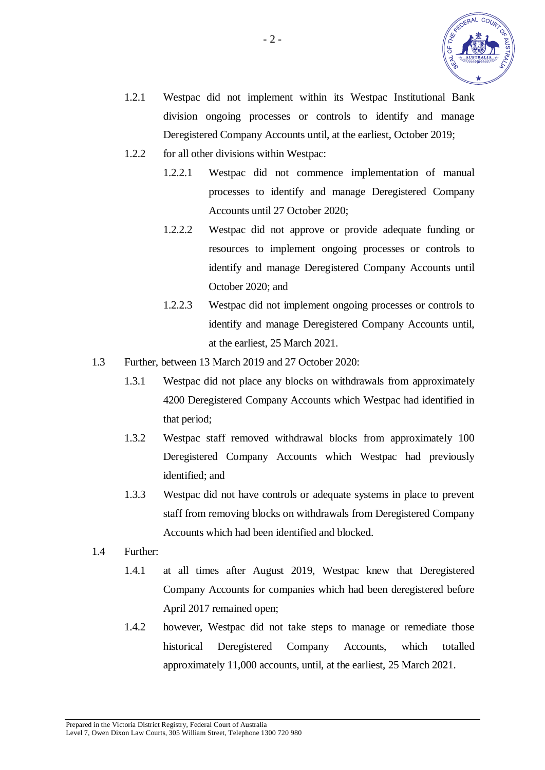

- 1.2.1 Westpac did not implement within its Westpac Institutional Bank division ongoing processes or controls to identify and manage Deregistered Company Accounts until, at the earliest, October 2019;
- 1.2.2 for all other divisions within Westpac:
	- 1.2.2.1 Westpac did not commence implementation of manual processes to identify and manage Deregistered Company Accounts until 27 October 2020;
	- 1.2.2.2 Westpac did not approve or provide adequate funding or resources to implement ongoing processes or controls to identify and manage Deregistered Company Accounts until October 2020; and
	- 1.2.2.3 Westpac did not implement ongoing processes or controls to identify and manage Deregistered Company Accounts until, at the earliest, 25 March 2021.
- 1.3 Further, between 13 March 2019 and 27 October 2020:
	- 1.3.1 Westpac did not place any blocks on withdrawals from approximately 4200 Deregistered Company Accounts which Westpac had identified in that period;
	- 1.3.2 Westpac staff removed withdrawal blocks from approximately 100 Deregistered Company Accounts which Westpac had previously identified; and
	- 1.3.3 Westpac did not have controls or adequate systems in place to prevent staff from removing blocks on withdrawals from Deregistered Company Accounts which had been identified and blocked.
- 1.4 Further:
	- 1.4.1 at all times after August 2019, Westpac knew that Deregistered Company Accounts for companies which had been deregistered before April 2017 remained open;
	- 1.4.2 however, Westpac did not take steps to manage or remediate those historical Deregistered Company Accounts, which totalled approximately 11,000 accounts, until, at the earliest, 25 March 2021.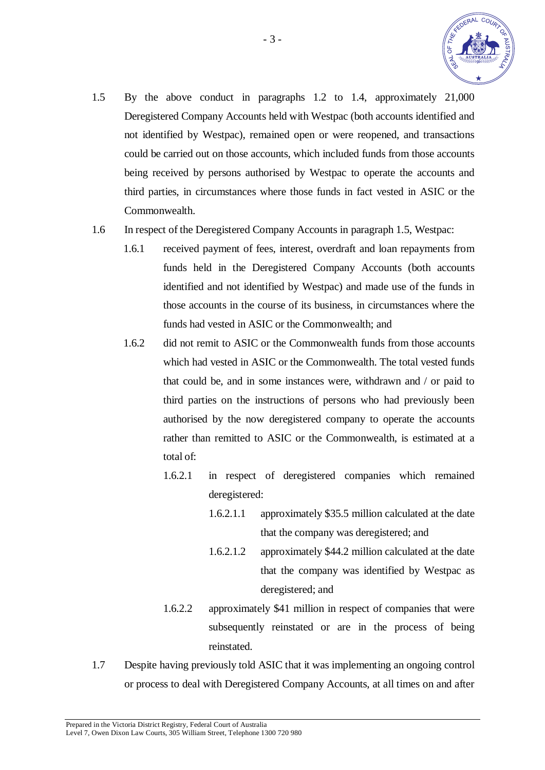

- 1.5 By the above conduct in paragraphs 1.2 to 1.4, approximately 21,000 Deregistered Company Accounts held with Westpac (both accounts identified and not identified by Westpac), remained open or were reopened, and transactions could be carried out on those accounts, which included funds from those accounts being received by persons authorised by Westpac to operate the accounts and third parties, in circumstances where those funds in fact vested in ASIC or the Commonwealth.
- 1.6 In respect of the Deregistered Company Accounts in paragraph 1.5, Westpac:
	- 1.6.1 received payment of fees, interest, overdraft and loan repayments from funds held in the Deregistered Company Accounts (both accounts identified and not identified by Westpac) and made use of the funds in those accounts in the course of its business, in circumstances where the funds had vested in ASIC or the Commonwealth; and
	- 1.6.2 did not remit to ASIC or the Commonwealth funds from those accounts which had vested in ASIC or the Commonwealth. The total vested funds that could be, and in some instances were, withdrawn and / or paid to third parties on the instructions of persons who had previously been authorised by the now deregistered company to operate the accounts rather than remitted to ASIC or the Commonwealth, is estimated at a total of:
		- 1.6.2.1 in respect of deregistered companies which remained deregistered:
			- 1.6.2.1.1 approximately \$35.5 million calculated at the date that the company was deregistered; and
			- 1.6.2.1.2 approximately \$44.2 million calculated at the date that the company was identified by Westpac as deregistered; and
		- 1.6.2.2 approximately \$41 million in respect of companies that were subsequently reinstated or are in the process of being reinstated.
- 1.7 Despite having previously told ASIC that it was implementing an ongoing control or process to deal with Deregistered Company Accounts, at all times on and after